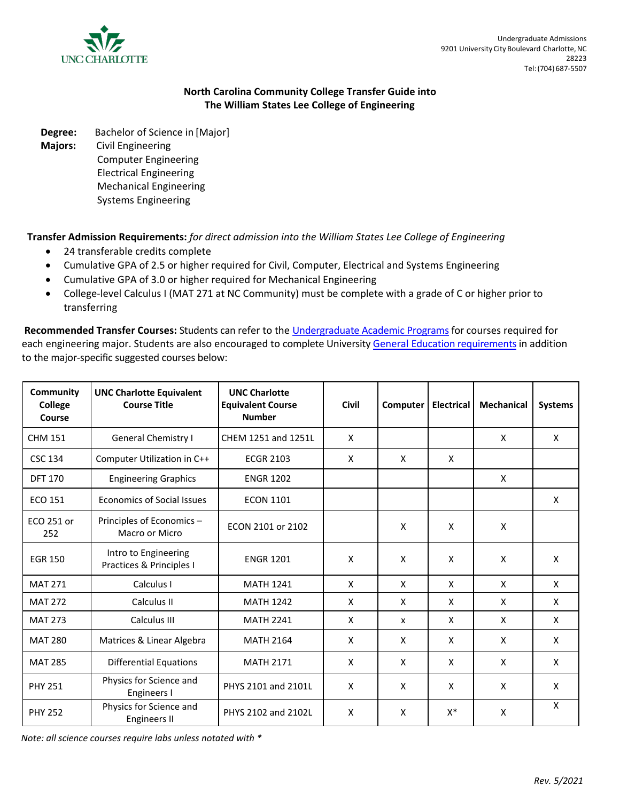

## **North Carolina Community College Transfer Guide into The William States Lee College of Engineering**

**Degree:** Bachelor of Science in [Major]

**Majors:** Civil Engineering

Computer Engineering Electrical Engineering Mechanical Engineering Systems Engineering

**Transfer Admission Requirements:** *for direct admission into the William States Lee College of Engineering*

- 24 transferable credits complete
- Cumulative GPA of 2.5 or higher required for Civil, Computer, Electrical and Systems Engineering
- Cumulative GPA of 3.0 or higher required for Mechanical Engineering
- College-level Calculus I (MAT 271 at NC Community) must be complete with a grade of C or higher prior to transferring

**Recommended Transfer Courses:** Students can refer to the [Undergraduate Academic Programs](https://academics.uncc.edu/undergraduate-programs) for courses required for each engineering major. Students are also encouraged to complete University General Education requirements in addition to the major-specific suggested courses below:

| Community<br>College<br>Course | <b>UNC Charlotte Equivalent</b><br><b>Course Title</b> | <b>UNC Charlotte</b><br><b>Equivalent Course</b><br><b>Number</b> | <b>Civil</b><br>Computer |              | <b>Electrical</b> | <b>Mechanical</b> | <b>Systems</b> |
|--------------------------------|--------------------------------------------------------|-------------------------------------------------------------------|--------------------------|--------------|-------------------|-------------------|----------------|
| <b>CHM 151</b>                 | General Chemistry I                                    | CHEM 1251 and 1251L                                               | X                        |              |                   | X                 | X              |
| <b>CSC 134</b>                 | Computer Utilization in C++                            | <b>ECGR 2103</b>                                                  | X                        | X            | X                 |                   |                |
| <b>DFT 170</b>                 | <b>Engineering Graphics</b>                            | <b>ENGR 1202</b>                                                  |                          |              |                   | X                 |                |
| <b>ECO 151</b>                 | <b>Economics of Social Issues</b>                      | <b>ECON 1101</b>                                                  |                          |              |                   |                   | X              |
| ECO 251 or<br>252              | Principles of Economics-<br>Macro or Micro             | ECON 2101 or 2102                                                 | X<br>X                   |              |                   | X                 |                |
| <b>EGR 150</b>                 | Intro to Engineering<br>Practices & Principles I       | <b>ENGR 1201</b>                                                  | X<br>X                   |              | X                 | X                 | X              |
| <b>MAT 271</b>                 | Calculus I                                             | <b>MATH 1241</b>                                                  | X                        | X            | X                 | X                 | X              |
| <b>MAT 272</b>                 | Calculus II                                            | <b>MATH 1242</b>                                                  | X                        | $\mathsf{x}$ | X                 | X                 | X              |
| <b>MAT 273</b>                 | Calculus III                                           | <b>MATH 2241</b>                                                  | X                        | $\mathsf{x}$ | X                 | X                 | X              |
| <b>MAT 280</b>                 | Matrices & Linear Algebra                              | <b>MATH 2164</b>                                                  | X                        | X            | X                 | X                 | X              |
| <b>MAT 285</b>                 | <b>Differential Equations</b>                          | <b>MATH 2171</b>                                                  | X                        | X            | X                 | X                 | X              |
| <b>PHY 251</b>                 | Physics for Science and<br>Engineers I                 | PHYS 2101 and 2101L                                               | X                        | X            | X                 | X                 | X              |
| <b>PHY 252</b>                 | Physics for Science and<br><b>Engineers II</b>         | PHYS 2102 and 2102L                                               | X                        | X            | $X^*$             | x                 | X              |

*Note: all science courses require labs unless notated with \**